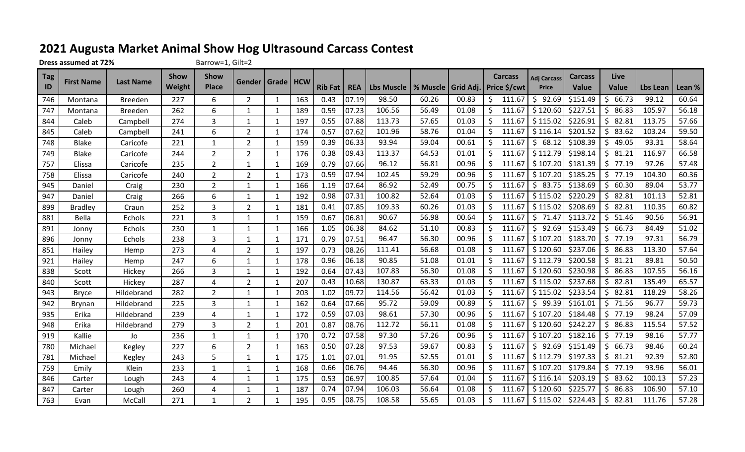## **2021 Augusta Market Animal Show Hog Ultrasound Carcass Contest**

**Dress assumed at 72%** Barrow=1, Gilt=2

| $\overline{\phantom{a}}$ Tag | <b>First Name</b> | <b>Last Name</b> | <b>Show</b> | Show           | <b>Gender</b>  | Grade        | <b>HCW</b> |                |            |                                                  |       |       |              | <b>Carcass</b> | <b>Adj Carcass</b> | <b>Carcass</b> | Live         |          |        |
|------------------------------|-------------------|------------------|-------------|----------------|----------------|--------------|------------|----------------|------------|--------------------------------------------------|-------|-------|--------------|----------------|--------------------|----------------|--------------|----------|--------|
| ID                           |                   |                  | Weight      | <b>Place</b>   |                |              |            | <b>Rib Fat</b> | <b>REA</b> | Lbs Muscle   % Muscle   Grid Adj.   Price \$/cwt |       |       |              |                | <b>Price</b>       | <b>Value</b>   | <b>Value</b> | Lbs Lean | Lean % |
| 746                          | Montana           | <b>Breeden</b>   | 227         | 6              | $\overline{2}$ | 1            | 163        | 0.43           | 07.19      | 98.50                                            | 60.26 | 00.83 | -\$          | 111.67         | 92.69<br>\$        | \$151.49       | 66.73<br>\$  | 99.12    | 60.64  |
| 747                          | Montana           | <b>Breeden</b>   | 262         | 6              | $\mathbf 1$    | 1            | 189        | 0.59           | 07.23      | 106.56                                           | 56.49 | 01.08 | <sup>S</sup> | 111.67         | \$120.60           | \$227.51       | 86.83<br>Ś   | 105.97   | 56.18  |
| 844                          | Caleb             | Campbell         | 274         | 3              | 1              | 1            | 197        | 0.55           | 07.88      | 113.73                                           | 57.65 | 01.03 |              | 111.67         | \$115.02           | \$226.91       | 82.81<br>S   | 113.75   | 57.66  |
| 845                          | Caleb             | Campbell         | 241         | 6              | $\overline{2}$ | 1            | 174        | 0.57           | 07.62      | 101.96                                           | 58.76 | 01.04 |              | 111.67         | \$116.14           | \$201.52       | 83.62<br>Ś   | 103.24   | 59.50  |
| 748                          | <b>Blake</b>      | Caricofe         | 221         | 1              | $\overline{2}$ | $\mathbf{1}$ | 159        | 0.39           | 06.33      | 93.94                                            | 59.04 | 00.61 | Ŝ.           | 111.67         | 68.12<br>S.        | \$108.39       | 49.05<br>\$  | 93.31    | 58.64  |
| 749                          | <b>Blake</b>      | Caricofe         | 244         | $\overline{2}$ | $\overline{2}$ | $\mathbf{1}$ | 176        | 0.38           | 09.43      | 113.37                                           | 64.53 | 01.01 | -S           | 111.67         | \$112.79           | \$198.14       | 81.21<br>Ş.  | 116.97   | 66.58  |
| 757                          | Elissa            | Caricofe         | 235         | $\overline{2}$ | $\mathbf 1$    | 1            | 169        | 0.79           | 07.66      | 96.12                                            | 56.81 | 00.96 |              | 111.67         | \$107.20           | \$181.39       | 77.19<br>S.  | 97.26    | 57.48  |
| 758                          | Elissa            | Caricofe         | 240         | $\overline{2}$ | $\overline{2}$ | 1            | 173        | 0.59           | 07.94      | 102.45                                           | 59.29 | 00.96 |              | 111.67         | \$107.20           | \$185.25       | 77.19<br>S   | 104.30   | 60.36  |
| 945                          | Daniel            | Craig            | 230         | $\overline{2}$ | $\mathbf 1$    | $\mathbf{1}$ | 166        | 1.19           | 07.64      | 86.92                                            | 52.49 | 00.75 | S            | 111.67         | 83.75<br>\$        | \$138.69       | 60.30<br>\$  | 89.04    | 53.77  |
| 947                          | Daniel            | Craig            | 266         | 6              | $\mathbf{1}$   | $\mathbf{1}$ | 192        | 0.98           | 07.31      | 100.82                                           | 52.64 | 01.03 | <sup>S</sup> | 111.67         | \$115.02           | \$220.29       | 82.81<br>S.  | 101.13   | 52.81  |
| 899                          | <b>Bradley</b>    | Craun            | 252         | 3              | $\overline{2}$ | 1            | 181        | 0.41           | 07.85      | 109.33                                           | 60.26 | 01.03 |              | 111.67         | \$115.02           | \$208.69       | 82.81<br>S.  | 110.35   | 60.82  |
| 881                          | Bella             | Echols           | 221         | 3              | -1             | 1            | 159        | 0.67           | 06.81      | 90.67                                            | 56.98 | 00.64 |              | 111.67         | 71.47<br>\$        | \$113.72       | 51.46<br>S.  | 90.56    | 56.91  |
| 891                          | Jonny             | Echols           | 230         | $\mathbf 1$    | $\mathbf 1$    | $\mathbf{1}$ | 166        | 1.05           | 06.38      | 84.62                                            | 51.10 | 00.83 | Ŝ.           | 111.67         | 92.69<br>S.        | \$153.49       | \$<br>66.73  | 84.49    | 51.02  |
| 896                          | Jonny             | Echols           | 238         | 3              | 1              | 1            | 171        | 0.79           | 07.51      | 96.47                                            | 56.30 | 00.96 |              | 111.67         | \$107.20           | \$183.70       | 77.19<br>S.  | 97.31    | 56.79  |
| 851                          | Hailey            | Hemp             | 273         | 4              | $\overline{2}$ | 1            | 197        | 0.73           | 08.26      | 111.41                                           | 56.68 | 01.08 |              | 111.67         | \$120.60           | \$237.06       | 86.83<br>S.  | 113.30   | 57.64  |
| 921                          | Hailey            | Hemp             | 247         | 6              | $\mathbf 1$    | $\mathbf{1}$ | 178        | 0.96           | 06.18      | 90.85                                            | 51.08 | 01.01 |              | 111.67         | \$112.79           | \$200.58       | 81.21<br>\$. | 89.81    | 50.50  |
| 838                          | Scott             | Hickey           | 266         | 3              | $\mathbf 1$    | $\mathbf{1}$ | 192        | 0.64           | 07.43      | 107.83                                           | 56.30 | 01.08 | -Ś           | 111.67         | \$120.60           | \$230.98       | 86.83<br>\$  | 107.55   | 56.16  |
| 840                          | Scott             | Hickey           | 287         | 4              | $\overline{2}$ | 1            | 207        | 0.43           | 10.68      | 130.87                                           | 63.33 | 01.03 |              | 111.67         | \$115.02           | \$237.68       | 82.81<br>S   | 135.49   | 65.57  |
| 943                          | <b>Bryce</b>      | Hildebrand       | 282         | $\overline{2}$ | -1             | 1            | 203        | 1.02           | 09.72      | 114.56                                           | 56.42 | 01.03 |              | 111.67         | \$115.02           | \$233.54       | 82.81<br>S   | 118.29   | 58.26  |
| 942                          | <b>Brynan</b>     | Hildebrand       | 225         | 3              | 1              | $\mathbf{1}$ | 162        | 0.64           | 07.66      | 95.72                                            | 59.09 | 00.89 |              | 111.67         | 99.39<br>S         | \$161.01       | 71.56<br>Ŝ   | 96.77    | 59.73  |
| 935                          | Erika             | Hildebrand       | 239         | 4              | $\mathbf{1}$   | $\mathbf{1}$ | 172        | 0.59           | 07.03      | 98.61                                            | 57.30 | 00.96 | \$           | 111.67         | \$107.20           | \$184.48       | S.<br>77.19  | 98.24    | 57.09  |
| 948                          | Erika             | Hildebrand       | 279         | 3              | $\overline{2}$ | 1            | 201        | 0.87           | 08.76      | 112.72                                           | 56.11 | 01.08 | -S           | 111.67         | \$120.60           | \$242.27       | 86.83<br>S.  | 115.54   | 57.52  |
| 919                          | Kallie            | Jo               | 236         | 1              | -1             | 1            | 170        | 0.72           | 07.58      | 97.30                                            | 57.26 | 00.96 |              | 111.67         | \$107.20           | \$182.16       | 77.19<br>S   | 98.16    | 57.77  |
| 780                          | Michael           | Kegley           | 227         | 6              | $\overline{2}$ | $\mathbf{1}$ | 163        | 0.50           | 07.28      | 97.53                                            | 59.67 | 00.83 |              | 111.67         | 92.69<br>\$        | \$151.49       | 66.73<br>\$  | 98.46    | 60.24  |
| 781                          | Michael           | Kegley           | 243         | 5              | $\mathbf 1$    | 1            | 175        | 1.01           | 07.01      | 91.95                                            | 52.55 | 01.01 | Ŝ.           | 111.67         | \$112.79           | \$197.33       | \$<br>81.21  | 92.39    | 52.80  |
| 759                          | Emily             | Klein            | 233         | 1              | $\mathbf 1$    | 1            | 168        | 0.66           | 06.76      | 94.46                                            | 56.30 | 00.96 |              | 111.67         | \$107.20           | \$179.84       | 77.19<br>S   | 93.96    | 56.01  |
| 846                          | Carter            | Lough            | 243         | 4              | $\mathbf 1$    | 1            | 175        | 0.53           | 06.97      | 100.85                                           | 57.64 | 01.04 |              | 111.67         | \$116.14           | \$203.19       | 83.62<br>S.  | 100.13   | 57.23  |
| 847                          | Carter            | Lough            | 260         | 4              | $\mathbf 1$    | $\mathbf{1}$ | 187        | 0.74           | 07.94      | 106.03                                           | 56.64 | 01.08 |              | 111.67         | \$120.60           | \$225.77       | 86.83        | 106.90   | 57.10  |
| 763                          | Evan              | McCall           | 271         | 1              | $\overline{2}$ |              | 195        | 0.95           | 08.75      | 108.58                                           | 55.65 | 01.03 | \$           | 111.67         | \$115.02           | \$224.43       | 82.81<br>\$. | 111.76   | 57.28  |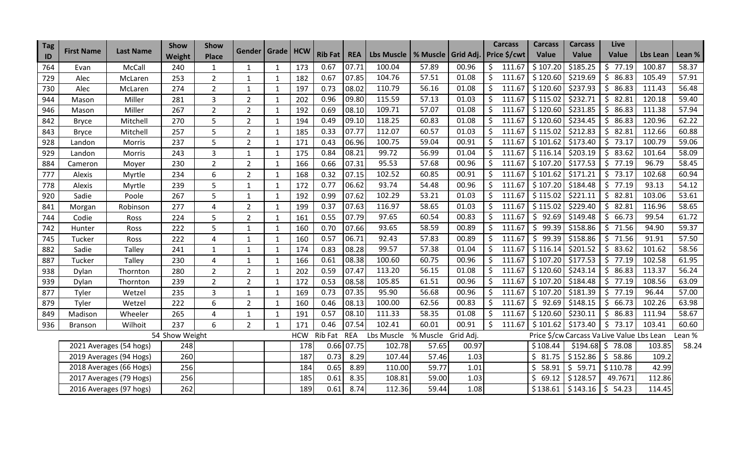| Tag |                   |                         | Show           | <b>Show</b>    |                      |              |            |                |            |                       |          |           |               | <b>Carcass</b> | <b>Carcass</b> | <b>Carcass</b> | Live                                       |          |        |
|-----|-------------------|-------------------------|----------------|----------------|----------------------|--------------|------------|----------------|------------|-----------------------|----------|-----------|---------------|----------------|----------------|----------------|--------------------------------------------|----------|--------|
| ID  | <b>First Name</b> | <b>Last Name</b>        | Weight         | <b>Place</b>   | Gender   Grade   HCW |              |            | <b>Rib Fat</b> | <b>REA</b> | Lbs Muscle   % Muscle |          | Grid Adj. |               | Price \$/cwt   | Value          | Value          | Value                                      | Lbs Lean | Lean % |
| 764 | Evan              | McCall                  | 240            | $\mathbf{1}$   | 1                    | 1            | 173        | 0.67           | 07.71      | 100.04                | 57.89    | 00.96     | S.            | 111.67         | \$107.20       | \$185.25       | $5$ 77.19                                  | 100.87   | 58.37  |
| 729 | Alec              | McLaren                 | 253            | $\overline{2}$ | 1                    | 1            | 182        | 0.67           | 07.85      | 104.76                | 57.51    | 01.08     |               | 111.67         | \$120.60       | \$219.69       | 86.83<br>\$.                               | 105.49   | 57.91  |
| 730 | Alec              | McLaren                 | 274            | $\overline{2}$ | $\mathbf{1}$         | $\mathbf{1}$ | 197        | 0.73           | 08.02      | 110.79                | 56.16    | 01.08     | \$            | 111.67         | \$120.60       | \$237.93       | 86.83<br>S.                                | 111.43   | 56.48  |
| 944 | Mason             | Miller                  | 281            | 3              | $\overline{2}$       | 1            | 202        | 0.96           | 09.80      | 115.59                | 57.13    | 01.03     | \$            | 111.67         | \$115.02       | \$232.71       | 82.81<br>\$                                | 120.18   | 59.40  |
| 946 | Mason             | Miller                  | 267            | $\overline{2}$ | $\overline{2}$       | $\mathbf{1}$ | 192        | 0.69           | 08.10      | 109.71                | 57.07    | 01.08     | S.            | 111.67         | \$120.60       | \$231.85       | \$86.83                                    | 111.38   | 57.94  |
| 842 | <b>Bryce</b>      | Mitchell                | 270            | 5              | $\overline{2}$       | $\mathbf{1}$ | 194        | 0.49           | 09.10      | 118.25                | 60.83    | 01.08     |               | 111.67         | \$120.60       | \$234.45       | 86.83<br>\$.                               | 120.96   | 62.22  |
| 843 | <b>Bryce</b>      | Mitchell                | 257            | 5              | $\overline{2}$       | $\mathbf{1}$ | 185        | 0.33           | 07.77      | 112.07                | 60.57    | 01.03     |               | 111.67         | \$115.02       | \$212.83       | \$82.81                                    | 112.66   | 60.88  |
| 928 | Landon            | Morris                  | 237            | 5              | $\overline{2}$       | $\mathbf{1}$ | 171        | 0.43           | 06.96      | 100.75                | 59.04    | 00.91     |               | 111.67         | \$101.62       | \$173.40       | 73.17<br>\$                                | 100.79   | 59.06  |
| 929 | Landon            | Morris                  | 243            | 3              | $\mathbf{1}$         | $\mathbf{1}$ | 175        | 0.84           | 08.21      | 99.72                 | 56.99    | 01.04     |               | 111.67         | \$116.14       | \$203.19       | \$83.62                                    | 101.64   | 58.09  |
| 884 | Cameron           | Moyer                   | 230            | $\overline{2}$ | $\overline{2}$       | 1            | 166        | 0.66           | 07.31      | 95.53                 | 57.68    | 00.96     |               | 111.67         | \$107.20       | \$177.53       | \$77.19                                    | 96.79    | 58.45  |
| 777 | Alexis            | Myrtle                  | 234            | 6              | $\overline{2}$       | $\mathbf{1}$ | 168        | 0.32           | 07.15      | 102.52                | 60.85    | 00.91     | \$            | 111.67         | \$101.62       | \$171.21       | \$73.17                                    | 102.68   | 60.94  |
| 778 | Alexis            | Myrtle                  | 239            | 5              | $\mathbf{1}$         | $\mathbf{1}$ | 172        | 0.77           | 06.62      | 93.74                 | 54.48    | 00.96     | <sup>\$</sup> | 111.67         | \$107.20       | \$184.48       | \$77.19                                    | 93.13    | 54.12  |
| 920 | Sadie             | Poole                   | 267            | 5              | $\mathbf{1}$         | $\mathbf{1}$ | 192        | 0.99           | 07.62      | 102.29                | 53.21    | 01.03     | Ś.            | 111.67         | \$115.02       | \$221.11       | \$82.81                                    | 103.06   | 53.61  |
| 841 | Morgan            | Robinson                | 277            | 4              | $\overline{2}$       | $\mathbf{1}$ | 199        | 0.37           | 07.63      | 116.97                | 58.65    | 01.03     |               | 111.67         | \$115.02       | \$229.40       | \$82.81                                    | 116.96   | 58.65  |
| 744 | Codie             | Ross                    | 224            | 5              | $\overline{2}$       | $\mathbf{1}$ | 161        | 0.55           | 07.79      | 97.65                 | 60.54    | 00.83     |               | 111.67         | 92.69<br>\$    | \$149.48       | 66.73<br>\$                                | 99.54    | 61.72  |
| 742 | Hunter            | Ross                    | 222            | 5              | $\mathbf{1}$         | $\mathbf{1}$ | 160        | 0.70           | 07.66      | 93.65                 | 58.59    | 00.89     | S             | 111.67         | 99.39<br>\$    | \$158.86       | 71.56<br>\$.                               | 94.90    | 59.37  |
| 745 | Tucker            | Ross                    | 222            | 4              | $\mathbf{1}$         | $\mathbf{1}$ | 160        | 0.57           | 06.71      | 92.43                 | 57.83    | 00.89     |               | 111.67         | 99.39<br>\$    | \$158.86       | 71.56<br>\$                                | 91.91    | 57.50  |
| 882 | Sadie             | Talley                  | 241            | $\mathbf{1}$   | $\mathbf{1}$         | $\mathbf{1}$ | 174        | 0.83           | 08.28      | 99.57                 | 57.38    | 01.04     |               | 111.67         | \$116.14       | \$201.52       | \$83.62                                    | 101.62   | 58.56  |
| 887 | Tucker            | Talley                  | 230            | 4              | $\mathbf{1}$         | $\mathbf{1}$ | 166        | 0.61           | 08.38      | 100.60                | 60.75    | 00.96     |               | 111.67         | \$107.20       | \$177.53       | \$77.19                                    | 102.58   | 61.95  |
| 938 | Dylan             | Thornton                | 280            | $\overline{2}$ | $\overline{2}$       | $\mathbf{1}$ | 202        | 0.59           | 07.47      | 113.20                | 56.15    | 01.08     | \$            | 111.67         | \$120.60       | \$243.14       | \$86.83                                    | 113.37   | 56.24  |
| 939 | Dylan             | Thornton                | 239            | $\overline{2}$ | $\overline{2}$       | 1            | 172        | 0.53           | 08.58      | 105.85                | 61.51    | 00.96     |               | 111.67         | \$107.20       | \$184.48       | \$77.19                                    | 108.56   | 63.09  |
| 877 | Tyler             | Wetzel                  | 235            | 3              | $\mathbf{1}$         | $\mathbf{1}$ | 169        | 0.73           | 07.35      | 95.90                 | 56.68    | 00.96     |               | 111.67         | \$107.20       | \$181.39       | \$77.19                                    | 96.44    | 57.00  |
| 879 | Tyler             | Wetzel                  | 222            | 6              | $\overline{2}$       | 1            | 160        | 0.46           | 08.13      | 100.00                | 62.56    | 00.83     |               | 111.67         | \$92.69        | \$148.15       | \$66.73                                    | 102.26   | 63.98  |
| 849 | Madison           | Wheeler                 | 265            | 4              | $\mathbf{1}$         | $\mathbf{1}$ | 191        | 0.57           | 08.10      | 111.33                | 58.35    | 01.08     |               | 111.67         | \$120.60       | \$230.11       | \$86.83                                    | 111.94   | 58.67  |
| 936 | Branson           | Wilhoit                 | 237            | 6              | $\overline{2}$       | $\mathbf{1}$ | 171        | 0.46           | 07.54      | 102.41                | 60.01    | 00.91     |               | 111.67         | \$101.62       | \$173.40       | \$73.17                                    | 103.41   | 60.60  |
|     |                   |                         | 54 Show Weight |                |                      |              | <b>HCW</b> | Rib Fat        | <b>REA</b> | Lbs Muscle            | % Muscle | Grid Adj. |               |                |                |                | Price \$/cw Carcass Va Live Value Lbs Lean |          | Lean % |
|     |                   | 2021 Averages (54 hogs) | 248            |                |                      |              | 178        | 0.66           | 07.75      | 102.78                | 57.65    | 00.97     |               |                | \$108.44       | $$194.68$ \$   | 78.08                                      | 103.85   | 58.24  |
|     |                   | 2019 Averages (94 Hogs) | 260            |                |                      |              | 187        | 0.73           | 8.29       | 107.44                | 57.46    | 1.03      |               |                | \$<br>81.75    | \$152.86       | 58.86<br>-\$                               | 109.2    |        |
|     |                   | 2018 Averages (66 Hogs) | 256            |                |                      |              | 184        | 0.65           | 8.89       | 110.00                | 59.77    | 1.01      |               |                | \$<br>58.91    | \$59.71        | \$110.78                                   | 42.99    |        |
|     |                   | 2017 Averages (79 Hogs) | 256            |                |                      |              | 185        | 0.61           | 8.35       | 108.81                | 59.00    | 1.03      |               |                | \$<br>69.12    | \$128.57       | 49.7671                                    | 112.86   |        |
|     |                   | 2016 Averages (97 hogs) | 262            |                |                      |              | 189        | 0.61           | 8.74       | 112.36                | 59.44    | 1.08      |               |                | \$138.61       | \$143.16       | \$54.23                                    | 114.45   |        |